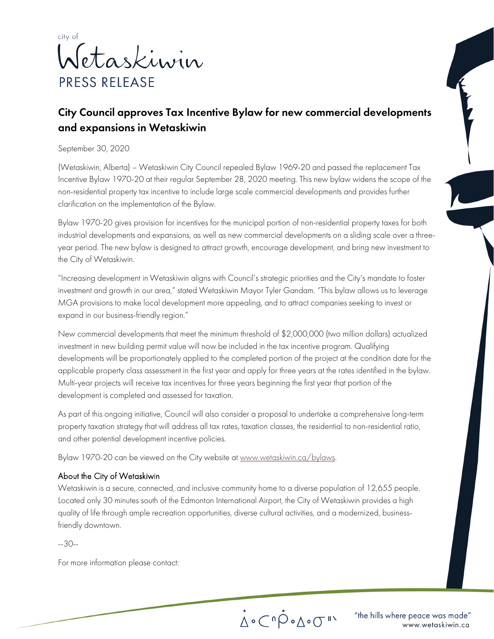

## City Council approves Tax Incentive Bylaw for new commercial developments and expansions in Wetaskiwin

September 30, 2020

(Wetaskiwin, Alberta) – Wetaskiwin City Council repealed Bylaw 1969-20 and passed the replacement Tax Incentive Bylaw 1970-20 at their regular September 28, 2020 meeting. This new bylaw widens the scope of the non-residential property tax incentive to include large scale commercial developments and provides further clarification on the implementation of the Bylaw.

Bylaw 1970-20 gives provision for incentives for the municipal portion of non-residential property taxes for both industrial developments and expansions, as well as new commercial developments on a sliding scale over a threeyear period. The new bylaw is designed to attract growth, encourage development, and bring new investment to the City of Wetaskiwin.

"Increasing development in Wetaskiwin aligns with Council's strategic priorities and the City's mandate to foster investment and growth in our area," stated Wetaskiwin Mayor Tyler Gandam. "This bylaw allows us to leverage MGA provisions to make local development more appealing, and to attract companies seeking to invest or expand in our business-friendly region."

New commercial developments that meet the minimum threshold of \$2,000,000 (two million dollars) actualized investment in new building permit value will now be included in the tax incentive program. Qualifying developments will be proportionately applied to the completed portion of the project at the condition date for the applicable property class assessment in the first year and apply for three years at the rates identified in the bylaw. Multi-year projects will receive tax incentives for three years beginning the first year that portion of the development is completed and assessed for taxation.

As part of this ongoing initiative, Council will also consider a proposal to undertake a comprehensive long-term property taxation strategy that will address all tax rates, taxation classes, the residential to non-residential ratio, and other potential development incentive policies.

Bylaw 1970-20 can be viewed on the City website a[t www.wetaskiwin.ca/bylaws.](http://www.wetaskiwin.ca/bylaws)

## About the City of Wetaskiwin

Wetaskiwin is a secure, connected, and inclusive community home to a diverse population of 12,655 people. Located only 30 minutes south of the Edmonton International Airport, the City of Wetaskiwin provides a high quality of life through ample recreation opportunities, diverse cultural activities, and a modernized, businessfriendly downtown.

--30--

For more information please contact:

 $\mathring{\Delta}\circ\mathring{\mathbb{C}}^n\mathring{\mathcal{P}}\circ\mathring{\Delta}\circ\mathring{\mathbb{C}}^{n\times n}$ 

"the hills where peace was made" www.wetaskiwin.ca